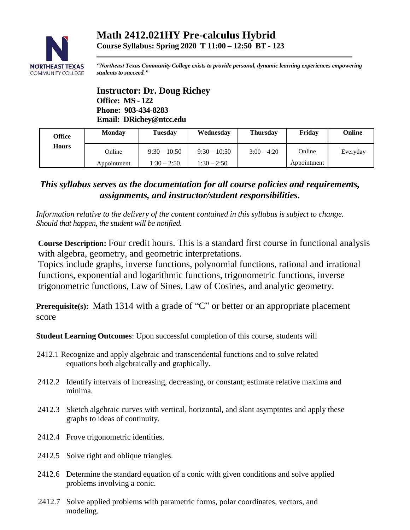

*"Northeast Texas Community College exists to provide personal, dynamic learning experiences empowering students to succeed."*

**Instructor: Dr. Doug Richey Office: MS - 122 Phone: 903-434-8283 Email: DRichey@ntcc.edu**

| <b>Office</b> | <b>Monday</b> | <b>Tuesday</b> | Wednesday      | <b>Thursday</b> | Friday      | Online   |
|---------------|---------------|----------------|----------------|-----------------|-------------|----------|
| <b>Hours</b>  | Online        | $9:30 - 10:50$ | $9:30 - 10:50$ | $3:00 - 4:20$   | Online      | Everyday |
|               | Appointment   | $1:30 - 2:50$  | $1:30 - 2:50$  |                 | Appointment |          |

# *This syllabus serves as the documentation for all course policies and requirements, assignments, and instructor/student responsibilities.*

*Information relative to the delivery of the content contained in this syllabus is subject to change. Should that happen, the student will be notified.*

**Course Description:** Four credit hours. This is a standard first course in functional analysis with algebra, geometry, and geometric interpretations.

Topics include graphs, inverse functions, polynomial functions, rational and irrational functions, exponential and logarithmic functions, trigonometric functions, inverse trigonometric functions, Law of Sines, Law of Cosines, and analytic geometry.

**Prerequisite(s):** Math 1314 with a grade of "C" or better or an appropriate placement score

**Student Learning Outcomes**: Upon successful completion of this course, students will

- 2412.1 Recognize and apply algebraic and transcendental functions and to solve related equations both algebraically and graphically.
- 2412.2 Identify intervals of increasing, decreasing, or constant; estimate relative maxima and minima.
- 2412.3 Sketch algebraic curves with vertical, horizontal, and slant asymptotes and apply these graphs to ideas of continuity.
- 2412.4 Prove trigonometric identities.
- 2412.5 Solve right and oblique triangles.
- 2412.6 Determine the standard equation of a conic with given conditions and solve applied problems involving a conic.
- 2412.7 Solve applied problems with parametric forms, polar coordinates, vectors, and modeling.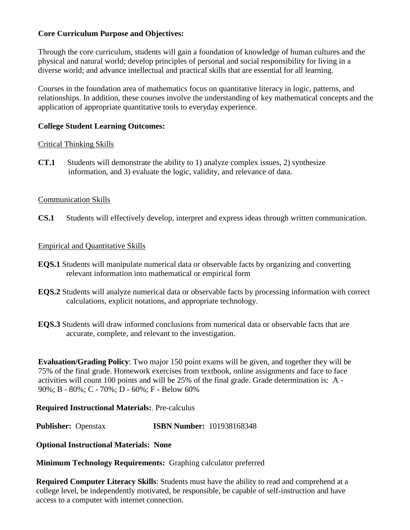# **Core Curriculum Purpose and Objectives:**

Through the core curriculum, students will gain a foundation of knowledge of human cultures and the physical and natural world; develop principles of personal and social responsibility for living in a diverse world; and advance intellectual and practical skills that are essential for all learning.

Courses in the foundation area of mathematics focus on quantitative literacy in logic, patterns, and relationships. In addition, these courses involve the understanding of key mathematical concepts and the application of appropriate quantitative tools to everyday experience.

## **College Student Learning Outcomes:**

#### Critical Thinking Skills

**CT.1** Students will demonstrate the ability to 1) analyze complex issues, 2) synthesize information, and 3) evaluate the logic, validity, and relevance of data.

#### Communication Skills

**CS.1** Students will effectively develop, interpret and express ideas through written communication.

#### Empirical and Quantitative Skills

- **EQS.1** Students will manipulate numerical data or observable facts by organizing and converting relevant information into mathematical or empirical form
- **EQS.2** Students will analyze numerical data or observable facts by processing information with correct calculations, explicit notations, and appropriate technology.
- **EQS.3** Students will draw informed conclusions from numerical data or observable facts that are accurate, complete, and relevant to the investigation.

**Evaluation/Grading Policy**: Two major 150 point exams will be given, and together they will be 75% of the final grade. Homework exercises from textbook, online assignments and face to face activities will count 100 points and will be 25% of the final grade. Grade determination is: A - 90%; B - 80%; C - 70%; D - 60%; F - Below 60%

**Required Instructional Materials:**. Pre-calculus

**Publisher:** Openstax **ISBN Number:** 101938168348

**Optional Instructional Materials: None**

**Minimum Technology Requirements:** Graphing calculator preferred

**Required Computer Literacy Skills**: Students must have the ability to read and comprehend at a college level, be independently motivated, be responsible, be capable of self-instruction and have access to a computer with internet connection.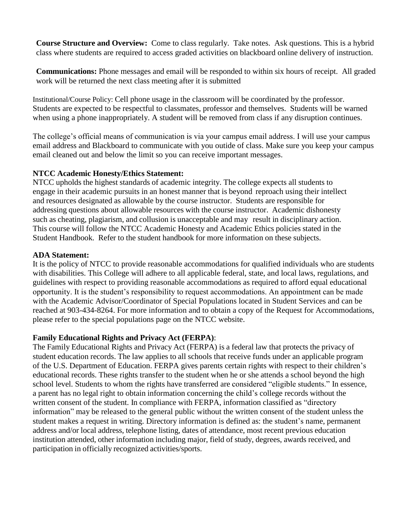**Course Structure and Overview:** Come to class regularly. Take notes. Ask questions. This is a hybrid class where students are required to access graded activities on blackboard online delivery of instruction.

**Communications:** Phone messages and email will be responded to within six hours of receipt. All graded work will be returned the next class meeting after it is submitted

Institutional/Course Policy: Cell phone usage in the classroom will be coordinated by the professor. Students are expected to be respectful to classmates, professor and themselves. Students will be warned when using a phone inappropriately. A student will be removed from class if any disruption continues.

The college's official means of communication is via your campus email address. I will use your campus email address and Blackboard to communicate with you outide of class. Make sure you keep your campus email cleaned out and below the limit so you can receive important messages.

## **NTCC Academic Honesty/Ethics Statement:**

NTCC upholds the highest standards of academic integrity. The college expects all students to engage in their academic pursuits in an honest manner that is beyond reproach using their intellect and resources designated as allowable by the course instructor. Students are responsible for addressing questions about allowable resources with the course instructor. Academic dishonesty such as cheating, plagiarism, and collusion is unacceptable and may result in disciplinary action. This course will follow the NTCC Academic Honesty and Academic Ethics policies stated in the Student Handbook. Refer to the student handbook for more information on these subjects.

## **ADA Statement:**

It is the policy of NTCC to provide reasonable accommodations for qualified individuals who are students with disabilities. This College will adhere to all applicable federal, state, and local laws, regulations, and guidelines with respect to providing reasonable accommodations as required to afford equal educational opportunity. It is the student's responsibility to request accommodations. An appointment can be made with the Academic Advisor/Coordinator of Special Populations located in Student Services and can be reached at 903-434-8264. For more information and to obtain a copy of the Request for Accommodations, please refer to the special populations page on the NTCC websit[e.](http://www.ntcc.edu/index.php?module=Pagesetter&func=viewpub&tid=111&pid=1) 

# **Family Educational Rights and Privacy Act (FERPA)**:

The Family Educational Rights and Privacy Act (FERPA) is a federal law that protects the privacy of student education records. The law applies to all schools that receive funds under an applicable program of the U.S. Department of Education. FERPA gives parents certain rights with respect to their children's educational records. These rights transfer to the student when he or she attends a school beyond the high school level. Students to whom the rights have transferred are considered "eligible students." In essence, a parent has no legal right to obtain information concerning the child's college records without the written consent of the student. In compliance with FERPA, information classified as "directory information" may be released to the general public without the written consent of the student unless the student makes a request in writing. Directory information is defined as: the student's name, permanent address and/or local address, telephone listing, dates of attendance, most recent previous education institution attended, other information including major, field of study, degrees, awards received, and participation in officially recognized activities/sports.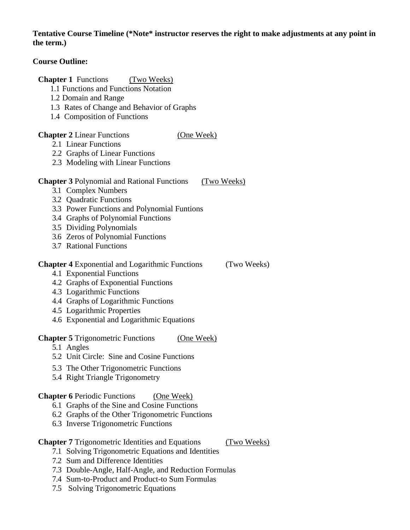# **Tentative Course Timeline (\*Note\* instructor reserves the right to make adjustments at any point in the term.)**

### **Course Outline:**

**Chapter 1** Functions (Two Weeks)

- 1.1 Functions and Functions Notation
- 1.2 Domain and Range
- 1.3 Rates of Change and Behavior of Graphs
- 1.4 Composition of Functions

## **Chapter 2** Linear Functions (One Week)

- 2.1 Linear Functions
- 2.2 Graphs of Linear Functions
- 2.3 Modeling with Linear Functions

## **Chapter 3** Polynomial and Rational Functions (Two Weeks)

- 3.1 Complex Numbers
- 3.2 Quadratic Functions
- 3.3 Power Functions and Polynomial Funtions
- 3.4 Graphs of Polynomial Functions
- 3.5 Dividing Polynomials
- 3.6 Zeros of Polynomial Functions
- 3.7 Rational Functions

# **Chapter 4** Exponential and Logarithmic Functions (Two Weeks)

- 4.1 Exponential Functions
- 4.2 Graphs of Exponential Functions
- 4.3 Logarithmic Functions
- 4.4 Graphs of Logarithmic Functions
- 4.5 Logarithmic Properties
- 4.6 Exponential and Logarithmic Equations

#### **Chapter 5** Trigonometric Functions (One Week)

- 5.1 Angles
- 5.2 Unit Circle: Sine and Cosine Functions
- 5.3 The Other Trigonometric Functions
- 5.4 Right Triangle Trigonometry

# **Chapter 6** Periodic Functions (One Week)

- 6.1 Graphs of the Sine and Cosine Functions
- 6.2 Graphs of the Other Trigonometric Functions
- 6.3 Inverse Trigonometric Functions

#### **Chapter 7** Trigonometric Identities and Equations (Two Weeks)

- 7.1 Solving Trigonometric Equations and Identities
- 7.2 Sum and Difference Identities
- 7.3 Double-Angle, Half-Angle, and Reduction Formulas
- 7.4 Sum-to-Product and Product-to Sum Formulas
- 7.5 Solving Trigonometric Equations